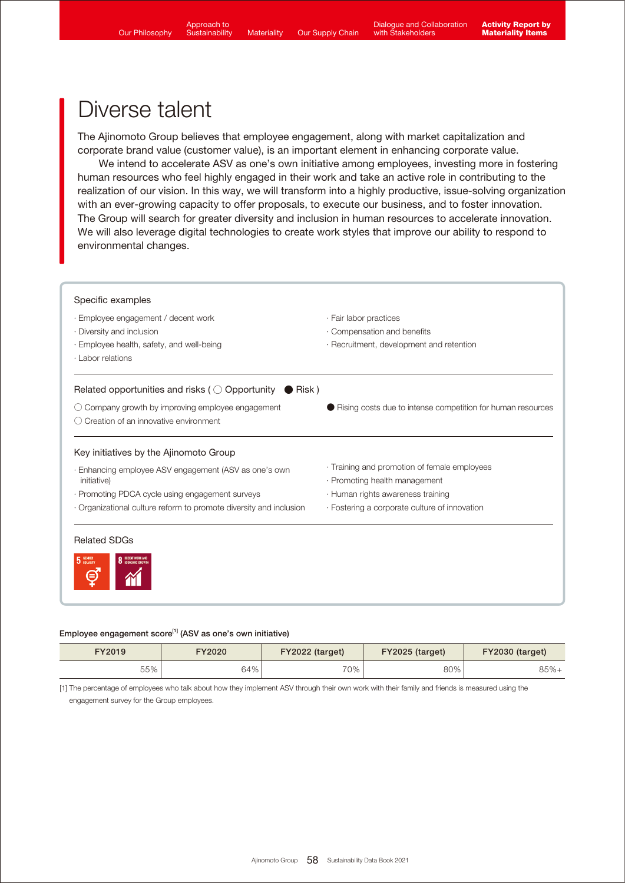The Ajinomoto Group believes that employee engagement, along with market capitalization and corporate brand value (customer value), is an important element in enhancing corporate value.

 We intend to accelerate ASV as one's own initiative among employees, investing more in fostering human resources who feel highly engaged in their work and take an active role in contributing to the realization of our vision. In this way, we will transform into a highly productive, issue-solving organization with an ever-growing capacity to offer proposals, to execute our business, and to foster innovation. The Group will search for greater diversity and inclusion in human resources to accelerate innovation. We will also leverage digital technologies to create work styles that improve our ability to respond to environmental changes.



#### Employee engagement score<sup>[1]</sup> (ASV as one's own initiative)

| FY2019 | FY2020 | FY2022 (target) | FY2025 (target) | FY2030 (target) |
|--------|--------|-----------------|-----------------|-----------------|
| 55%    | $54\%$ | 70%             | 80%             | $85%+$          |

[1] The percentage of employees who talk about how they implement ASV through their own work with their family and friends is measured using the engagement survey for the Group employees.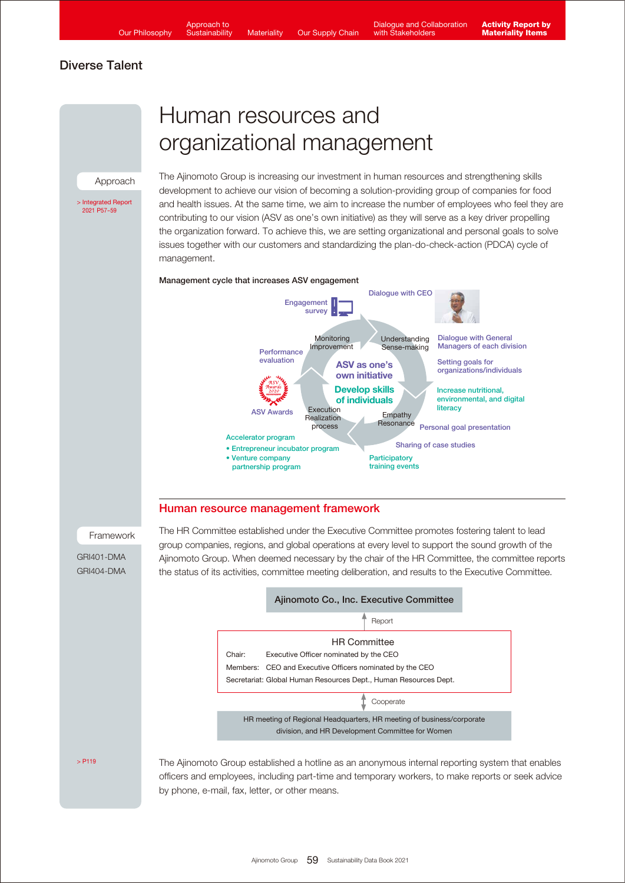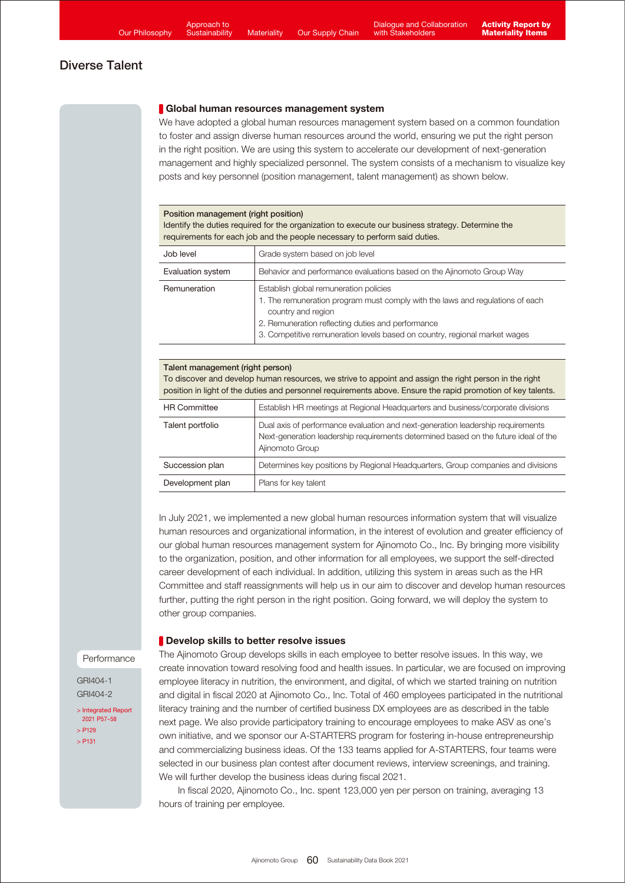#### Global human resources management system

We have adopted a global human resources management system based on a common foundation to foster and assign diverse human resources around the world, ensuring we put the right person in the right position. We are using this system to accelerate our development of next-generation management and highly specialized personnel. The system consists of a mechanism to visualize key posts and key personnel (position management, talent management) as shown below.

#### Position management (right position)

Identify the duties required for the organization to execute our business strategy. Determine the requirements for each job and the people necessary to perform said duties.

| Job level         | Grade system based on job level                                                                                                                                                                                                                                                  |
|-------------------|----------------------------------------------------------------------------------------------------------------------------------------------------------------------------------------------------------------------------------------------------------------------------------|
| Evaluation system | Behavior and performance evaluations based on the Ajinomoto Group Way                                                                                                                                                                                                            |
| Remuneration      | Establish global remuneration policies<br>1. The remuneration program must comply with the laws and regulations of each<br>country and region<br>2. Remuneration reflecting duties and performance<br>3. Competitive remuneration levels based on country, regional market wages |

#### Talent management (right person) To discover and develop human resources, we strive to appoint and assign the right person in the right position in light of the duties and personnel requirements above. Ensure the rapid promotion of key talents.

| <b>HR Committee</b> | Establish HR meetings at Regional Headquarters and business/corporate divisions                                                                                                           |
|---------------------|-------------------------------------------------------------------------------------------------------------------------------------------------------------------------------------------|
| Talent portfolio    | Dual axis of performance evaluation and next-generation leadership requirements<br>Next-generation leadership requirements determined based on the future ideal of the<br>Ajinomoto Group |
| Succession plan     | Determines key positions by Regional Headquarters, Group companies and divisions                                                                                                          |
| Development plan    | Plans for key talent                                                                                                                                                                      |

In July 2021, we implemented a new global human resources information system that will visualize human resources and organizational information, in the interest of evolution and greater efficiency of our global human resources management system for Ajinomoto Co., Inc. By bringing more visibility to the organization, position, and other information for all employees, we support the self-directed career development of each individual. In addition, utilizing this system in areas such as the HR Committee and staff reassignments will help us in our aim to discover and develop human resources further, putting the right person in the right position. Going forward, we will deploy the system to other group companies.

### **Develop skills to better resolve issues**

Performance

GRI404-1 GRI404-2

[> Integrated Report](https://www.ajinomoto.co.jp/company/en/ir/library/annual/main/08/teaserItems1/00/linkList/0/link/Integrated%20Report%202021_E_A4.pdf#page=58)  2021 P57-58 [> P129](https://www.ajinomoto.com/sustainability/pdf/2021/SDB2021en_competition.pdf#page=2) [> P131](https://www.ajinomoto.com/sustainability/pdf/2021/SDB2021en_competition.pdf#page=4)

The Ajinomoto Group develops skills in each employee to better resolve issues. In this way, we create innovation toward resolving food and health issues. In particular, we are focused on improving employee literacy in nutrition, the environment, and digital, of which we started training on nutrition and digital in fiscal 2020 at Ajinomoto Co., Inc. Total of 460 employees participated in the nutritional literacy training and the number of certified business DX employees are as described in the table next page. We also provide participatory training to encourage employees to make ASV as one's own initiative, and we sponsor our A-STARTERS program for fostering in-house entrepreneurship and commercializing business ideas. Of the 133 teams applied for A-STARTERS, four teams were selected in our business plan contest after document reviews, interview screenings, and training. We will further develop the business ideas during fiscal 2021.

 In fiscal 2020, Ajinomoto Co., Inc. spent 123,000 yen per person on training, averaging 13 hours of training per employee.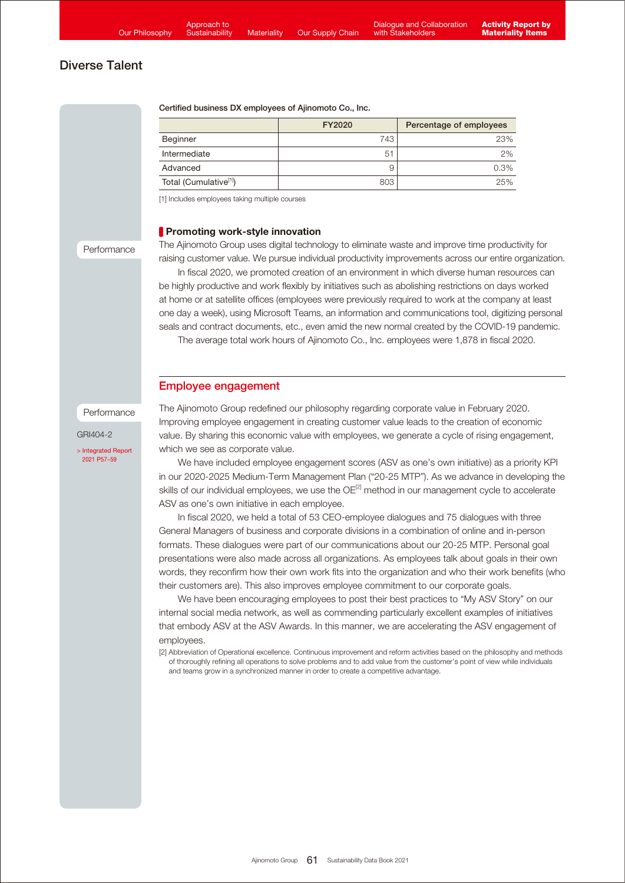#### Certified business DX employees of Ajinomoto Co., Inc.

|                                    | FY2020         | Percentage of employees |
|------------------------------------|----------------|-------------------------|
| Beginner                           | 743            | 23%                     |
| Intermediate                       | 5 <sup>1</sup> | 2%                      |
| Advanced                           |                | 0.3%                    |
| Total (Cumulative <sup>[1]</sup> ) | 803            | 25%                     |

[1] Includes employees taking multiple courses

#### **Promoting work-style innovation**

#### Performance

The Ajinomoto Group uses digital technology to eliminate waste and improve time productivity for raising customer value. We pursue individual productivity improvements across our entire organization.

 In fiscal 2020, we promoted creation of an environment in which diverse human resources can be highly productive and work flexibly by initiatives such as abolishing restrictions on days worked at home or at satellite offices (employees were previously required to work at the company at least one day a week), using Microsoft Teams, an information and communications tool, digitizing personal seals and contract documents, etc., even amid the new normal created by the COVID-19 pandemic.

The average total work hours of Ajinomoto Co., Inc. employees were 1,878 in fiscal 2020.

### Employee engagement

#### Performance

GRI404-2

[> Integrated Report](https://www.ajinomoto.co.jp/company/en/ir/library/annual/main/08/teaserItems1/00/linkList/0/link/Integrated%20Report%202021_E_A4.pdf#page=58)  2021 P57-59

The Ajinomoto Group redefined our philosophy regarding corporate value in February 2020. Improving employee engagement in creating customer value leads to the creation of economic value. By sharing this economic value with employees, we generate a cycle of rising engagement, which we see as corporate value.

 We have included employee engagement scores (ASV as one's own initiative) as a priority KPI in our 2020-2025 Medium-Term Management Plan ("20-25 MTP"). As we advance in developing the skills of our individual employees, we use the OE<sup>[2]</sup> method in our management cycle to accelerate ASV as one's own initiative in each employee.

 In fiscal 2020, we held a total of 53 CEO-employee dialogues and 75 dialogues with three General Managers of business and corporate divisions in a combination of online and in-person formats. These dialogues were part of our communications about our 20-25 MTP. Personal goal presentations were also made across all organizations. As employees talk about goals in their own words, they reconfirm how their own work fits into the organization and who their work benefits (who their customers are). This also improves employee commitment to our corporate goals.

 We have been encouraging employees to post their best practices to "My ASV Story" on our internal social media network, as well as commending particularly excellent examples of initiatives that embody ASV at the ASV Awards. In this manner, we are accelerating the ASV engagement of employees.

[2] Abbreviation of Operational excellence. Continuous improvement and reform activities based on the philosophy and methods of thoroughly refining all operations to solve problems and to add value from the customer's point of view while individuals and teams grow in a synchronized manner in order to create a competitive advantage.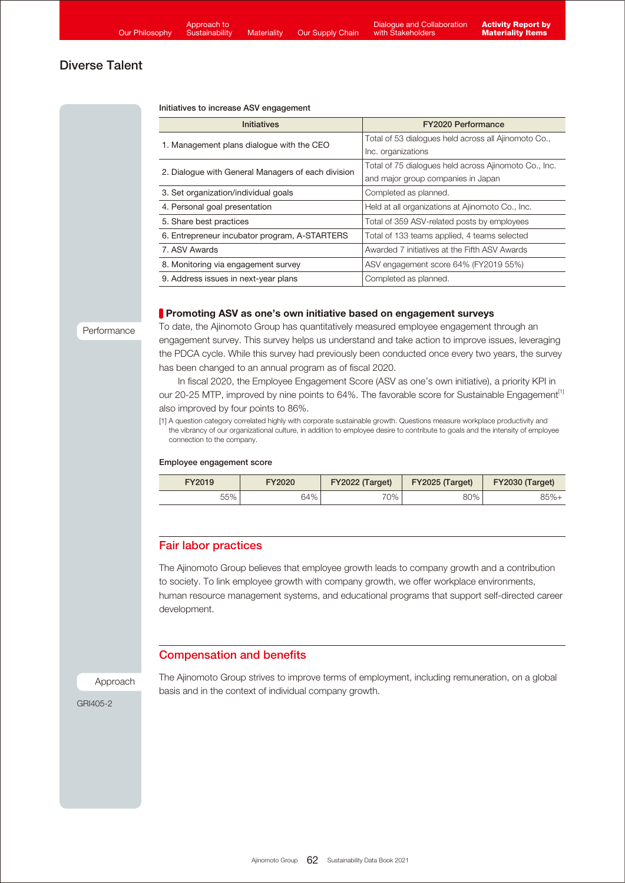#### Initiatives to increase ASV engagement

| <b>Initiatives</b>                                 | <b>FY2020 Performance</b>                             |  |
|----------------------------------------------------|-------------------------------------------------------|--|
| 1. Management plans dialogue with the CEO          | Total of 53 dialogues held across all Ajinomoto Co.,  |  |
|                                                    | Inc. organizations                                    |  |
| 2. Dialogue with General Managers of each division | Total of 75 dialogues held across Ajinomoto Co., Inc. |  |
|                                                    | and major group companies in Japan                    |  |
| 3. Set organization/individual goals               | Completed as planned.                                 |  |
| 4. Personal goal presentation                      | Held at all organizations at Ajinomoto Co., Inc.      |  |
| 5. Share best practices                            | Total of 359 ASV-related posts by employees           |  |
| 6. Entrepreneur incubator program, A-STARTERS      | Total of 133 teams applied, 4 teams selected          |  |
| 7. ASV Awards                                      | Awarded 7 initiatives at the Fifth ASV Awards         |  |
| 8. Monitoring via engagement survey                | ASV engagement score 64% (FY2019 55%)                 |  |
| 9. Address issues in next-year plans               | Completed as planned.                                 |  |

#### **Promoting ASV as one's own initiative based on engagement surveys**

#### Performance

To date, the Ajinomoto Group has quantitatively measured employee engagement through an engagement survey. This survey helps us understand and take action to improve issues, leveraging the PDCA cycle. While this survey had previously been conducted once every two years, the survey has been changed to an annual program as of fiscal 2020.

 In fiscal 2020, the Employee Engagement Score (ASV as one's own initiative), a priority KPI in our 20-25 MTP, improved by nine points to 64%. The favorable score for Sustainable Engagement<sup>[1]</sup> also improved by four points to 86%.

[1] A question category correlated highly with corporate sustainable growth. Questions measure workplace productivity and the vibrancy of our organizational culture, in addition to employee desire to contribute to goals and the intensity of employee connection to the company.

#### Employee engagement score

| FY2019 | FY2020 | FY2022 (Target) | FY2025 (Target) | FY2030 (Target) |
|--------|--------|-----------------|-----------------|-----------------|
| 55%    | 64%    | $70\%$ .        | 80%             | $85%+$          |

# Fair labor practices

The Ajinomoto Group believes that employee growth leads to company growth and a contribution to society. To link employee growth with company growth, we offer workplace environments, human resource management systems, and educational programs that support self-directed career development.

### Compensation and benefits

Approach

The Ajinomoto Group strives to improve terms of employment, including remuneration, on a global basis and in the context of individual company growth.

GRI405-2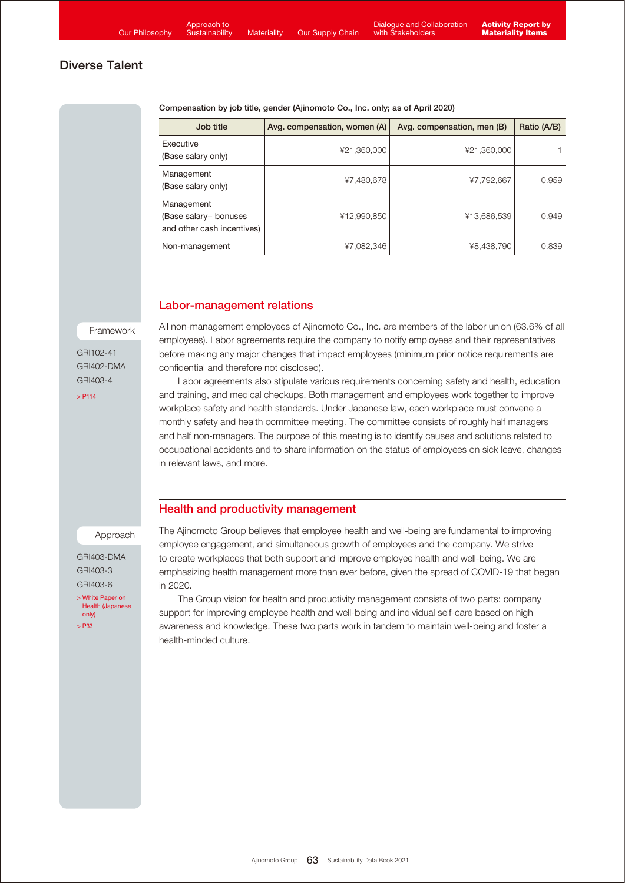Compensation by job title, gender (Ajinomoto Co., Inc. only; as of April 2020)

| Job title                                                         | Avg. compensation, women (A) | Avg. compensation, men (B) | Ratio (A/B) |
|-------------------------------------------------------------------|------------------------------|----------------------------|-------------|
| Executive<br>(Base salary only)                                   | ¥21,360,000                  | ¥21,360,000                |             |
| Management<br>(Base salary only)                                  | ¥7,480,678                   | ¥7,792,667                 | 0.959       |
| Management<br>(Base salary+ bonuses<br>and other cash incentives) | ¥12,990,850                  | ¥13,686,539                | 0.949       |
| Non-management                                                    | ¥7,082,346                   | ¥8,438,790                 | 0.839       |

### Labor-management relations

Framework

GRI102-41 GRI402-DMA GRI403-4

 $> 2114$ 

All non-management employees of Ajinomoto Co., Inc. are members of the labor union (63.6% of all employees). Labor agreements require the company to notify employees and their representatives before making any major changes that impact employees (minimum prior notice requirements are confidential and therefore not disclosed).

 Labor agreements also stipulate various requirements concerning safety and health, education and training, and medical checkups. Both management and employees work together to improve workplace safety and health standards. Under Japanese law, each workplace must convene a monthly safety and health committee meeting. The committee consists of roughly half managers and half non-managers. The purpose of this meeting is to identify causes and solutions related to occupational accidents and to share information on the status of employees on sick leave, changes in relevant laws, and more.

### Health and productivity management

#### Approach

GRI403-DMA GRI403-3 GRI403-6

[> White Paper on](https://www.ajinomoto.co.jp/company/jp/nutrition/pdf/ajinomoto_nutrition_whitepaper.pdf)  Health (Japanese only)  $\sim$  P33

The Ajinomoto Group believes that employee health and well-being are fundamental to improving employee engagement, and simultaneous growth of employees and the company. We strive to create workplaces that both support and improve employee health and well-being. We are emphasizing health management more than ever before, given the spread of COVID-19 that began in 2020.

 The Group vision for health and productivity management consists of two parts: company support for improving employee health and well-being and individual self-care based on high awareness and knowledge. These two parts work in tandem to maintain well-being and foster a health-minded culture.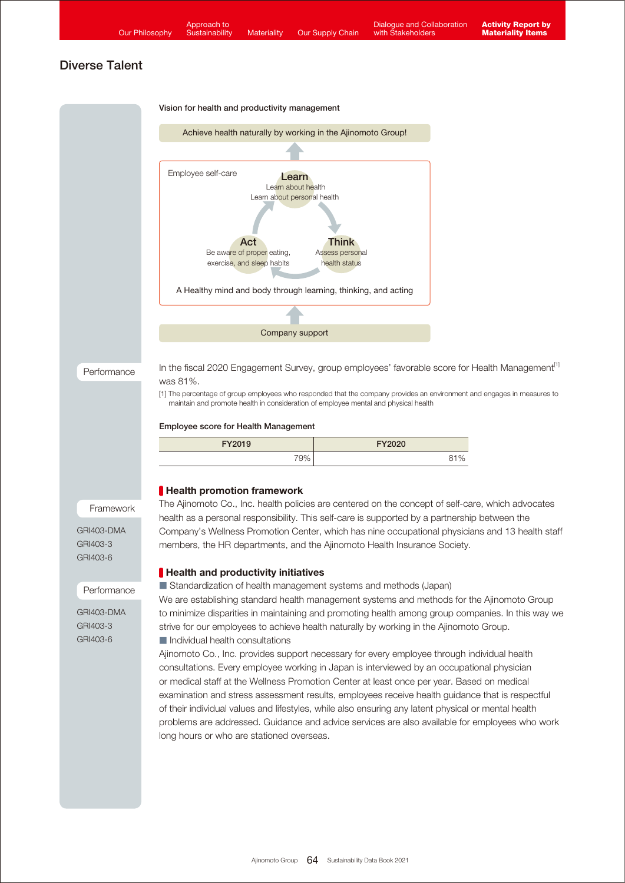

Vision for health and productivity management



Performance

In the fiscal 2020 Engagement Survey, group employees' favorable score for Health Management<sup>[1]</sup> was 81%.

[1] The percentage of group employees who responded that the company provides an environment and engages in measures to maintain and promote health in consideration of employee mental and physical health

#### Employee score for Health Management

| FY2019 | <b>FY2020</b> |
|--------|---------------|
| 79%    | 91%           |

#### **Health promotion framework**

The Ajinomoto Co., Inc. health policies are centered on the concept of self-care, which advocates health as a personal responsibility. This self-care is supported by a partnership between the Company's Wellness Promotion Center, which has nine occupational physicians and 13 health staff members, the HR departments, and the Ajinomoto Health Insurance Society.

#### **Health and productivity initiatives**

■ Standardization of health management systems and methods (Japan)

We are establishing standard health management systems and methods for the Ajinomoto Group to minimize disparities in maintaining and promoting health among group companies. In this way we strive for our employees to achieve health naturally by working in the Ajinomoto Group. ■ Individual health consultations

Ajinomoto Co., Inc. provides support necessary for every employee through individual health consultations. Every employee working in Japan is interviewed by an occupational physician or medical staff at the Wellness Promotion Center at least once per year. Based on medical examination and stress assessment results, employees receive health guidance that is respectful of their individual values and lifestyles, while also ensuring any latent physical or mental health problems are addressed. Guidance and advice services are also available for employees who work long hours or who are stationed overseas.

# Framework GRI403-DMA

GRI403-3 GRI403-6

#### Performance

GRI403-DMA GRI403-3 GRI403-6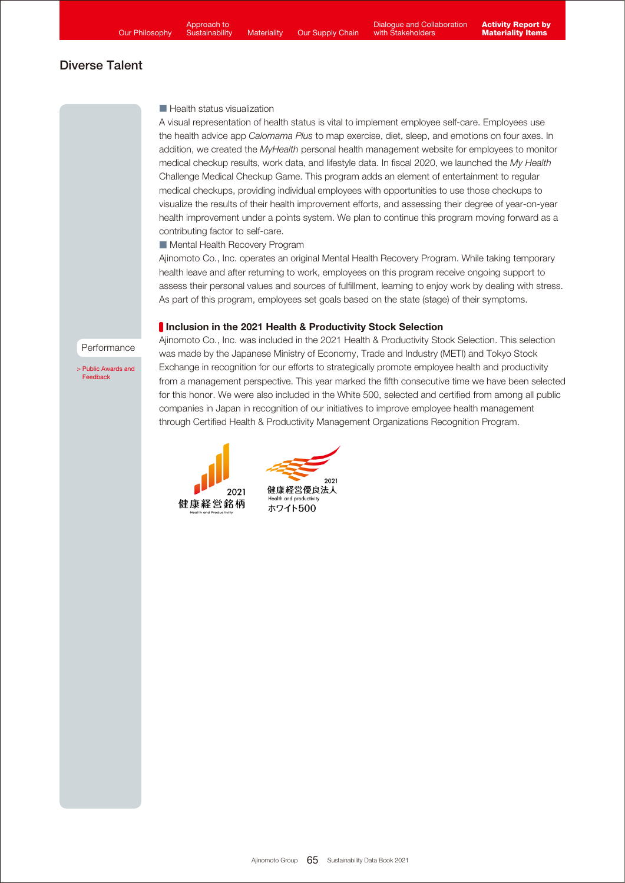Approach to **Sustainability** 

# Diverse Talent

#### ■ Health status visualization

A visual representation of health status is vital to implement employee self-care. Employees use the health advice app *Calomama Plus* to map exercise, diet, sleep, and emotions on four axes. In addition, we created the *MyHealth* personal health management website for employees to monitor medical checkup results, work data, and lifestyle data. In fiscal 2020, we launched the *My Health*  Challenge Medical Checkup Game. This program adds an element of entertainment to regular medical checkups, providing individual employees with opportunities to use those checkups to visualize the results of their health improvement efforts, and assessing their degree of year-on-year health improvement under a points system. We plan to continue this program moving forward as a contributing factor to self-care.

■ Mental Health Recovery Program

Ajinomoto Co., Inc. operates an original Mental Health Recovery Program. While taking temporary health leave and after returning to work, employees on this program receive ongoing support to assess their personal values and sources of fulfillment, learning to enjoy work by dealing with stress. As part of this program, employees set goals based on the state (stage) of their symptoms.

### **Inclusion in the 2021 Health & Productivity Stock Selection**

Performance

[> Public Awards and](https://www.ajinomoto.co.jp/company/en/ir/esg/sri.html) **Feedback** 

Ajinomoto Co., Inc. was included in the 2021 Health & Productivity Stock Selection. This selection was made by the Japanese Ministry of Economy, Trade and Industry (METI) and Tokyo Stock Exchange in recognition for our efforts to strategically promote employee health and productivity from a management perspective. This year marked the fifth consecutive time we have been selected for this honor. We were also included in the White 500, selected and certified from among all public companies in Japan in recognition of our initiatives to improve employee health management through Certified Health & Productivity Management Organizations Recognition Program.



 $2021$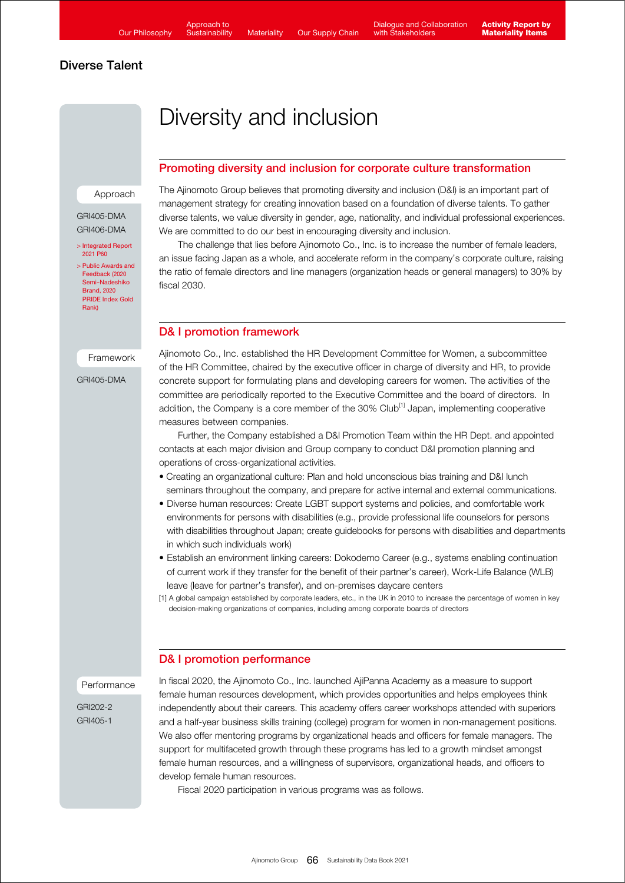Approach to **Sustainability** 

# Diverse Talent

# Diversity and inclusion

# Promoting diversity and inclusion for corporate culture transformation

Approach

#### GRI405-DMA GRI406-DMA

[> Integrated Report](https://www.ajinomoto.co.jp/company/en/ir/library/annual/main/08/teaserItems1/00/linkList/0/link/Integrated%20Report%202021_E_A4.pdf#page=61)  2021 P60 > Public Awards and Feedback (2020

[Semi-Nadeshiko](https://www.ajinomoto.co.jp/company/en/ir/esg/sri/2020.html)  Brand, 2020 PRIDE Index Gold Rank)

Framework

GRI405-DMA

The Ajinomoto Group believes that promoting diversity and inclusion (D&I) is an important part of management strategy for creating innovation based on a foundation of diverse talents. To gather diverse talents, we value diversity in gender, age, nationality, and individual professional experiences. We are committed to do our best in encouraging diversity and inclusion.

 The challenge that lies before Ajinomoto Co., Inc. is to increase the number of female leaders, an issue facing Japan as a whole, and accelerate reform in the company's corporate culture, raising the ratio of female directors and line managers (organization heads or general managers) to 30% by fiscal 2030.

# D& I promotion framework

Ajinomoto Co., Inc. established the HR Development Committee for Women, a subcommittee of the HR Committee, chaired by the executive officer in charge of diversity and HR, to provide concrete support for formulating plans and developing careers for women. The activities of the committee are periodically reported to the Executive Committee and the board of directors. In addition, the Company is a core member of the 30% Club<sup>[1]</sup> Japan, implementing cooperative measures between companies.

 Further, the Company established a D&I Promotion Team within the HR Dept. and appointed contacts at each major division and Group company to conduct D&I promotion planning and operations of cross-organizational activities.

- Creating an organizational culture: Plan and hold unconscious bias training and D&I lunch seminars throughout the company, and prepare for active internal and external communications.
- Diverse human resources: Create LGBT support systems and policies, and comfortable work environments for persons with disabilities (e.g., provide professional life counselors for persons with disabilities throughout Japan; create guidebooks for persons with disabilities and departments in which such individuals work)
- Establish an environment linking careers: Dokodemo Career (e.g., systems enabling continuation of current work if they transfer for the benefit of their partner's career), Work-Life Balance (WLB) leave (leave for partner's transfer), and on-premises daycare centers
- [1] A global campaign established by corporate leaders, etc., in the UK in 2010 to increase the percentage of women in key decision-making organizations of companies, including among corporate boards of directors

# D& I promotion performance

### Performance

GRI202-2 GRI405-1

In fiscal 2020, the Ajinomoto Co., Inc. launched AjiPanna Academy as a measure to support female human resources development, which provides opportunities and helps employees think independently about their careers. This academy offers career workshops attended with superiors and a half-year business skills training (college) program for women in non-management positions. We also offer mentoring programs by organizational heads and officers for female managers. The support for multifaceted growth through these programs has led to a growth mindset amongst female human resources, and a willingness of supervisors, organizational heads, and officers to develop female human resources.

Fiscal 2020 participation in various programs was as follows.